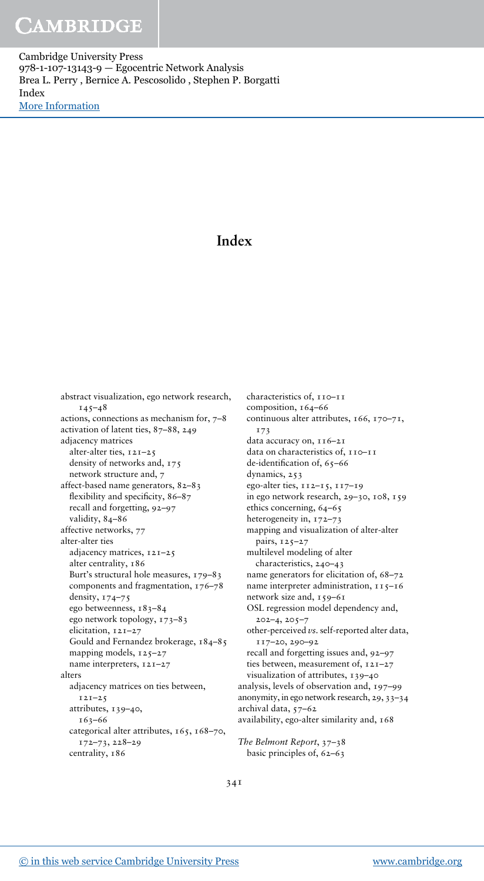Cambridge University Press 978-1-107-13143-9 — Egocentric Network Analysis Brea L. Perry , Bernice A. Pescosolido , Stephen P. Borgatti Index [More Information](www.cambridge.org/9781107131439)

### Index

abstract visualization, ego network research,  $145 - 48$ actions, connections as mechanism for, 7–8 activation of latent ties, 87–88, 249 adjacency matrices alter-alter ties, 121–25 density of networks and, 175 network structure and, 7 affect-based name generators, 82–83 flexibility and specificity, 86–87 recall and forgetting, 92–97 validity, 84–86 affective networks, 77 alter-alter ties adjacency matrices, 121–25 alter centrality, 186 Burt's structural hole measures, 179–83 components and fragmentation, 176–78 density, 174–75 ego betweenness, 183–84 ego network topology, 173–83 elicitation, 121–27 Gould and Fernandez brokerage, 184–85 mapping models, 125-27 name interpreters, 121–27 alters adjacency matrices on ties between,  $121 - 25$ attributes, 139–40, 163–66 categorical alter attributes, 165, 168–70, 172–73, 228–29 centrality, 186

characteristics of, 110–11 composition, 164–66 continuous alter attributes, 166, 170–71, 173 data accuracy on, 116–21 data on characteristics of, 110–11 de-identification of, 65–66 dynamics, 253 ego-alter ties, 112–15, 117–19 in ego network research, 29–30, 108, 159 ethics concerning, 64–65 heterogeneity in, 172–73 mapping and visualization of alter-alter pairs, 125–27 multilevel modeling of alter characteristics, 240–43 name generators for elicitation of, 68–72 name interpreter administration, 115–16 network size and, 159–61 OSL regression model dependency and, 202–4, 205–7 other-perceived  $\nu s$ . self-reported alter data, 117–20, 290–92 recall and forgetting issues and, 92–97 ties between, measurement of, 121–27 visualization of attributes, 139–40 analysis, levels of observation and, 197–99 anonymity, in ego network research, 29, 33–34 archival data, 57–62 availability, ego-alter similarity and, 168

The Belmont Report, 37–38 basic principles of, 62–63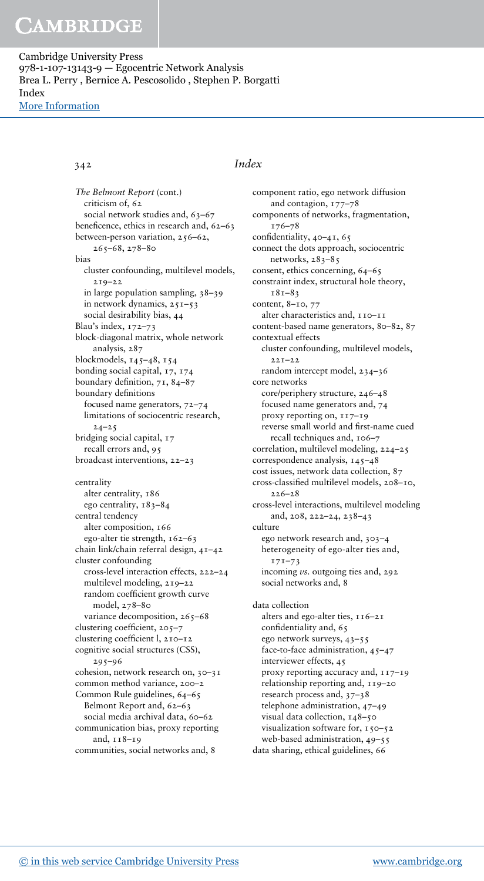Cambridge University Press 978-1-107-13143-9 — Egocentric Network Analysis Brea L. Perry , Bernice A. Pescosolido , Stephen P. Borgatti Index [More Information](www.cambridge.org/9781107131439)

#### The Belmont Report (cont.) criticism of, 62 social network studies and, 63-67 beneficence, ethics in research and, 62–63 between-person variation, 256–62, 265–68, 278–80 bias cluster confounding, multilevel models, 219–22 in large population sampling, 38–39 in network dynamics, 251–53 social desirability bias, 44 Blau's index, 172–73 block-diagonal matrix, whole network analysis, 287 blockmodels, 145–48, 154 bonding social capital, 17, 174 boundary definition, 71, 84–87 boundary definitions focused name generators, 72–74 limitations of sociocentric research,  $24 - 25$ bridging social capital, 17 recall errors and, 95 broadcast interventions, 22–23 centrality alter centrality, 186 ego centrality, 183–84 central tendency alter composition, 166 ego-alter tie strength, 162–63 chain link/chain referral design, 41–42 cluster confounding

cross-level interaction effects, 222–24 multilevel modeling, 219–22 random coefficient growth curve model, 278–80 variance decomposition, 265-68 clustering coefficient, 205–7 clustering coefficient l, 210–12 cognitive social structures (CSS), 295–96 cohesion, network research on, 30–31 common method variance, 200–2 Common Rule guidelines, 64–65 Belmont Report and, 62–63 social media archival data, 60-62 communication bias, proxy reporting and, 118–19

communities, social networks and, 8

### 342 Index

component ratio, ego network diffusion and contagion, 177–78 components of networks, fragmentation, 176–78 confidentiality, 40–41, 65 connect the dots approach, sociocentric networks, 283-85 consent, ethics concerning, 64–65 constraint index, structural hole theory, 181–83 content, 8–10, 77 alter characteristics and, 110–11 content-based name generators, 80–82, 87 contextual effects cluster confounding, multilevel models, 221–22 random intercept model, 234–36 core networks core/periphery structure, 246–48 focused name generators and, 74 proxy reporting on, 117–19 reverse small world and first-name cued recall techniques and, 106–7 correlation, multilevel modeling, 224–25 correspondence analysis, 145–48 cost issues, network data collection, 87 cross-classified multilevel models, 208–10,  $226 - 28$ cross-level interactions, multilevel modeling and, 208, 222–24, 238–43 culture ego network research and, 303–4 heterogeneity of ego-alter ties and,  $171 - 73$ incoming *vs*. outgoing ties and, 292 social networks and, 8 data collection alters and ego-alter ties, 116–21 confidentiality and, 65 ego network surveys, 43–55 face-to-face administration, 45–47 interviewer effects, 45 proxy reporting accuracy and, 117–19

relationship reporting and, 119–20 research process and, 37–38 telephone administration, 47–49 visual data collection, 148–50 visualization software for, 150-52 web-based administration, 49–55 data sharing, ethical guidelines, 66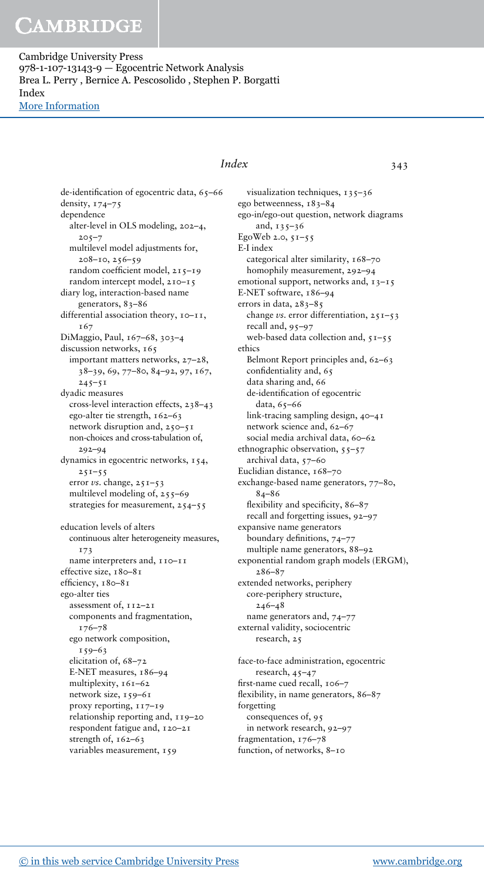Cambridge University Press 978-1-107-13143-9 — Egocentric Network Analysis Brea L. Perry , Bernice A. Pescosolido , Stephen P. Borgatti Index [More Information](www.cambridge.org/9781107131439)

### Index 343

de-identification of egocentric data, 65–66 density, 174–75 dependence alter-level in OLS modeling, 202–4,  $205 - 7$ multilevel model adjustments for, 208–10, 256–59 random coefficient model, 215–19 random intercept model, 210–15 diary log, interaction-based name generators, 83–86 differential association theory, 10–11, 167 DiMaggio, Paul, 167–68, 303–4 discussion networks, 165 important matters networks, 27–28, 38–39, 69, 77–80, 84–92, 97, 167,  $245 - 51$ dyadic measures cross-level interaction effects, 238–43 ego-alter tie strength, 162–63 network disruption and, 250–51 non-choices and cross-tabulation of, 292–94 dynamics in egocentric networks, 154,  $251 - 55$ error vs. change, 251-53 multilevel modeling of, 255–69 strategies for measurement, 254–55 education levels of alters continuous alter heterogeneity measures, 173 name interpreters and, 110–11 effective size, 180–81 efficiency, 180–81

ego-alter ties assessment of, 112–21 components and fragmentation, 176–78 ego network composition, 159–63 elicitation of, 68–72 E-NET measures, 186–94 multiplexity, 161–62 network size, 159–61 proxy reporting, 117–19 relationship reporting and, 119–20 respondent fatigue and, 120–21 strength of, 162-63 variables measurement, 159

visualization techniques, 135-36 ego betweenness, 183–84 ego-in/ego-out question, network diagrams and,  $135 - 36$ EgoWeb 2.0, 51–55 E-I index categorical alter similarity, 168–70 homophily measurement, 292–94 emotional support, networks and, 13-15 E-NET software, 186–94 errors in data, 283-85 change vs. error differentiation, 251–53 recall and, 95–97 web-based data collection and,  $51-55$ ethics Belmont Report principles and, 62–63 confidentiality and, 65 data sharing and, 66 de-identification of egocentric data, 65–66 link-tracing sampling design, 40–41 network science and, 62–67 social media archival data, 60-62 ethnographic observation, 55–57 archival data, 57–60 Euclidian distance, 168–70 exchange-based name generators, 77–80, 84–86 flexibility and specificity, 86-87 recall and forgetting issues, 92–97 expansive name generators boundary definitions, 74–77 multiple name generators, 88–92 exponential random graph models (ERGM), 286–87 extended networks, periphery core-periphery structure,  $246 - 48$ name generators and, 74–77 external validity, sociocentric research, 25 face-to-face administration, egocentric

research, 45–47 first-name cued recall, 106–7 flexibility, in name generators, 86–87 forgetting consequences of, 95 in network research, 92–97 fragmentation, 176–78 function, of networks, 8–10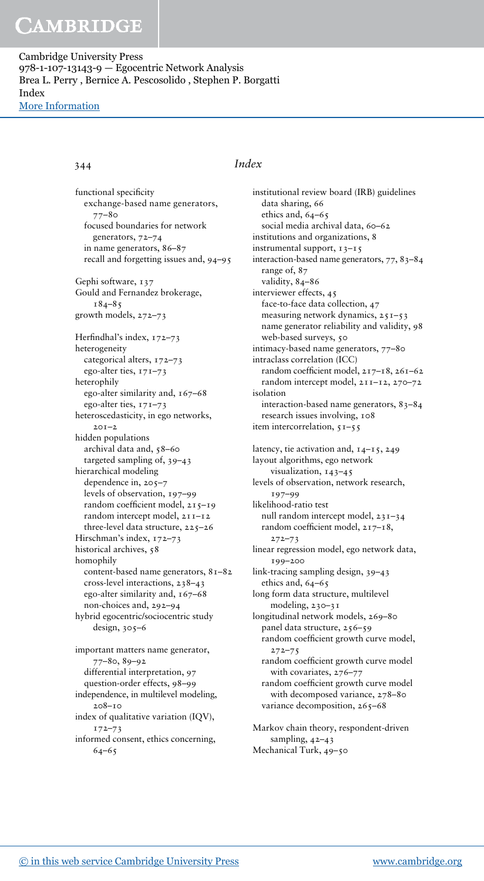Cambridge University Press 978-1-107-13143-9 — Egocentric Network Analysis Brea L. Perry , Bernice A. Pescosolido , Stephen P. Borgatti Index [More Information](www.cambridge.org/9781107131439)

functional specificity exchange-based name generators, 77–80 focused boundaries for network generators, 72–74 in name generators, 86–87 recall and forgetting issues and, 94–95 Gephi software, 137 Gould and Fernandez brokerage,  $184 - 85$ growth models, 272–73 Herfindhal's index, 172–73 heterogeneity categorical alters, 172–73 ego-alter ties, 171–73 heterophily ego-alter similarity and, 167–68 ego-alter ties, 171–73 heteroscedasticity, in ego networks,  $2.01 - 2.$ hidden populations archival data and, 58–60 targeted sampling of, 39–43 hierarchical modeling dependence in, 205–7 levels of observation, 197–99 random coefficient model, 215–19 random intercept model, 211–12 three-level data structure, 225–26 Hirschman's index, 172–73 historical archives, 58 homophily content-based name generators, 81–82 cross-level interactions, 238–43 ego-alter similarity and, 167–68 non-choices and, 292–94 hybrid egocentric/sociocentric study design, 305–6 important matters name generator, 77–80, 89–92 differential interpretation, 97 question-order effects, 98–99 independence, in multilevel modeling, 208–10

index of qualitative variation (IQV), 172–73

informed consent, ethics concerning, 64–65

### 344 Index

institutional review board (IRB) guidelines data sharing, 66 ethics and, 64-65 social media archival data, 60-62 institutions and organizations, 8 instrumental support, 13–15 interaction-based name generators, 77, 83–84 range of, 87 validity, 84-86 interviewer effects, 45 face-to-face data collection, 47 measuring network dynamics, 251–53 name generator reliability and validity, 98 web-based surveys, 50 intimacy-based name generators, 77–80 intraclass correlation (ICC) random coefficient model, 217–18, 261–62 random intercept model, 211–12, 270–72 isolation interaction-based name generators, 83–84 research issues involving, 108 item intercorrelation, 51–55 latency, tie activation and, 14–15, 249 layout algorithms, ego network visualization, 143–45 levels of observation, network research, 197–99 likelihood-ratio test null random intercept model, 231–34 random coefficient model, 217–18, 272–73 linear regression model, ego network data, 199–200 link-tracing sampling design, 39–43 ethics and, 64–65 long form data structure, multilevel modeling, 230-31 longitudinal network models, 269–80 panel data structure, 256–59 random coefficient growth curve model,  $272 - 75$ random coefficient growth curve model with covariates, 276–77 random coefficient growth curve model with decomposed variance, 278–80 variance decomposition, 265-68 Markov chain theory, respondent-driven sampling, 42–43 Mechanical Turk, 49–50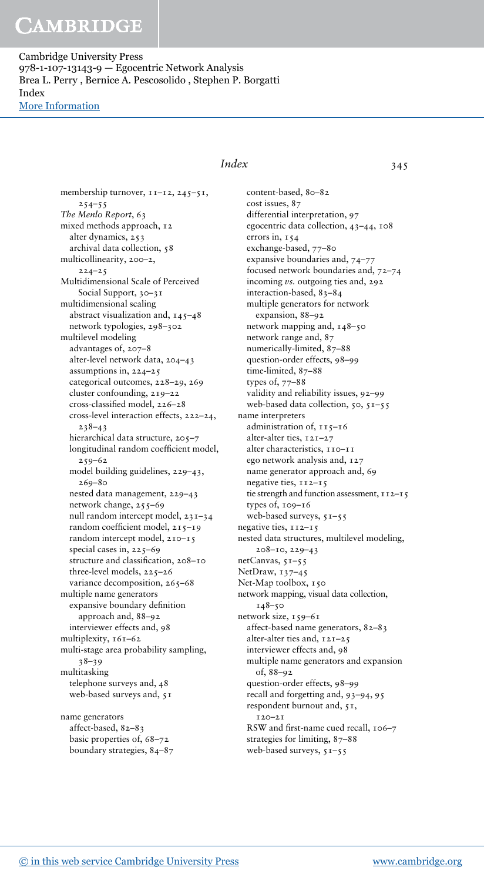Cambridge University Press 978-1-107-13143-9 — Egocentric Network Analysis Brea L. Perry , Bernice A. Pescosolido , Stephen P. Borgatti Index [More Information](www.cambridge.org/9781107131439)

> membership turnover,  $11-12$ ,  $245-51$ ,  $254 - 55$ The Menlo Report, 63 mixed methods approach, 12 alter dynamics, 253 archival data collection, 58 multicollinearity, 200–2,  $224 - 25$ Multidimensional Scale of Perceived Social Support, 30–31 multidimensional scaling abstract visualization and, 145–48 network typologies, 298–302 multilevel modeling advantages of, 207–8 alter-level network data, 204–43 assumptions in, 224–25 categorical outcomes, 228–29, 269 cluster confounding, 219–22 cross-classified model, 226–28 cross-level interaction effects, 222–24, 238–43 hierarchical data structure, 205–7 longitudinal random coefficient model, 259–62 model building guidelines, 229–43, 269–80 nested data management, 229–43 network change, 255–69 null random intercept model, 231–34 random coefficient model, 215–19 random intercept model, 210–15 special cases in, 225–69 structure and classification, 208–10 three-level models, 225–26 variance decomposition, 265-68 multiple name generators expansive boundary definition approach and, 88–92 interviewer effects and, 98 multiplexity, 161–62 multi-stage area probability sampling, 38–39 multitasking telephone surveys and, 48 web-based surveys and, 51 name generators

affect-based, 82–83 basic properties of, 68–72 boundary strategies, 84–87

### Index 345

content-based, 80–82 cost issues, 87 differential interpretation, 97 egocentric data collection, 43–44, 108 errors in, 154 exchange-based, 77–80 expansive boundaries and, 74–77 focused network boundaries and, 72–74 incoming vs. outgoing ties and, 292 interaction-based, 83–84 multiple generators for network expansion, 88–92 network mapping and, 148–50 network range and, 87 numerically-limited, 87–88 question-order effects, 98–99 time-limited, 87-88 types of, 77–88 validity and reliability issues, 92–99 web-based data collection,  $50, 51-55$ name interpreters administration of, 115–16 alter-alter ties, 121–27 alter characteristics, 110-11 ego network analysis and, 127 name generator approach and, 69 negative ties, 112–15 tie strength and function assessment, 112-15 types of, 109–16 web-based surveys, 51–55 negative ties, 112–15 nested data structures, multilevel modeling, 208–10, 229–43 netCanvas, 51–55 NetDraw, 137–45 Net-Map toolbox, 150 network mapping, visual data collection, 148–50 network size, 159–61 affect-based name generators, 82–83 alter-alter ties and, 121–25 interviewer effects and, 98 multiple name generators and expansion of, 88–92 question-order effects, 98–99 recall and forgetting and, 93–94, 95 respondent burnout and, 51, 120–21 RSW and first-name cued recall, 106–7 strategies for limiting, 87–88 web-based surveys, 51–55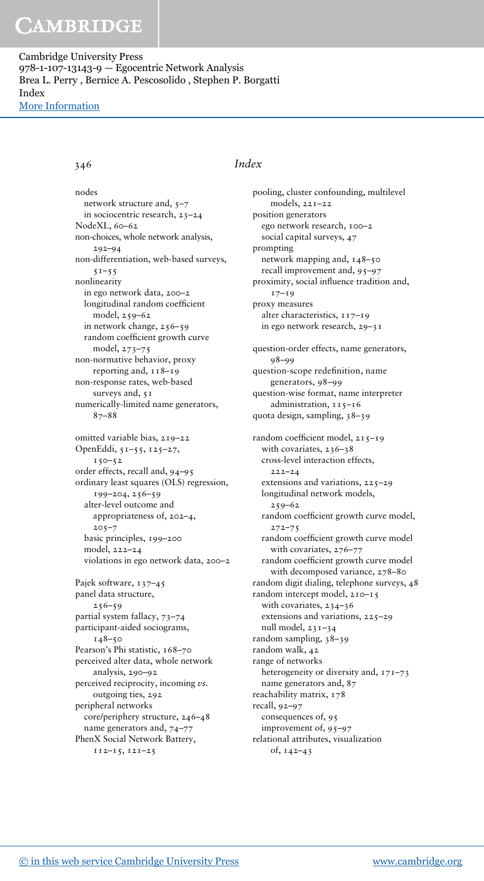Cambridge University Press 978-1-107-13143-9 — Egocentric Network Analysis Brea L. Perry , Bernice A. Pescosolido , Stephen P. Borgatti Index [More Information](www.cambridge.org/9781107131439)

#### 346 Index

nodes network structure and, 5–7 in sociocentric research, 23–24 NodeXL, 60–62 non-choices, whole network analysis, 292–94 non-differentiation, web-based surveys,  $51 - 55$ nonlinearity in ego network data, 200–2 longitudinal random coefficient model, 259–62 in network change, 256–59 random coefficient growth curve model, 273–75 non-normative behavior, proxy reporting and, 118–19 non-response rates, web-based surveys and, 51 numerically-limited name generators, 87–88 omitted variable bias, 219–22 OpenEddi, 51–55, 125–27,  $150 - 52$ order effects, recall and, 94–95 ordinary least squares (OLS) regression, 199–204, 256–59 alter-level outcome and appropriateness of, 202–4,  $205 - 7$ basic principles, 199–200 model, 222–24 violations in ego network data, 200–2 Pajek software, 137-45 panel data structure, 256–59 partial system fallacy, 73–74 participant-aided sociograms,  $148 - 50$ Pearson's Phi statistic, 168-70 perceived alter data, whole network analysis, 290–92 perceived reciprocity, incoming vs. outgoing ties, 292 peripheral networks core/periphery structure, 246–48 name generators and, 74–77 PhenX Social Network Battery, 112–15, 121–25

pooling, cluster confounding, multilevel models, 221–22 position generators ego network research, 100–2 social capital surveys, 47 prompting network mapping and, 148–50 recall improvement and, 95–97 proximity, social influence tradition and, 17–19 proxy measures alter characteristics, 117-19 in ego network research, 29–31 question-order effects, name generators, 98–99 question-scope redefinition, name generators, 98–99 question-wise format, name interpreter administration, 115-16 quota design, sampling, 38–39 random coefficient model, 215–19 with covariates, 236–38 cross-level interaction effects, 222–24 extensions and variations, 225–29 longitudinal network models, 259–62 random coefficient growth curve model, 272–75 random coefficient growth curve model with covariates, 276–77 random coefficient growth curve model with decomposed variance, 278–80 random digit dialing, telephone surveys, 48 random intercept model, 210–15 with covariates, 234–36 extensions and variations, 225–29 null model, 231–34 random sampling, 38–39 random walk, 42 range of networks heterogeneity or diversity and, 171–73 name generators and, 87 reachability matrix, 178 recall, 92–97 consequences of, 95 improvement of, 95–97 relational attributes, visualization of, 142–43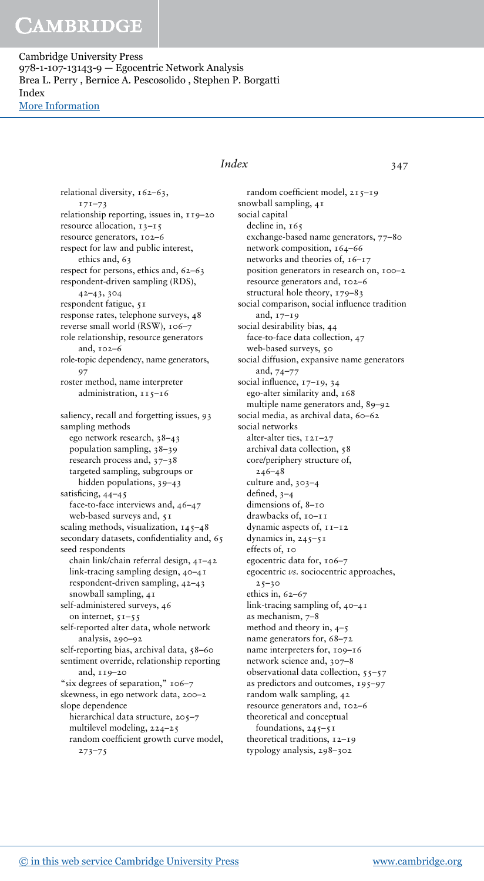Cambridge University Press 978-1-107-13143-9 — Egocentric Network Analysis Brea L. Perry , Bernice A. Pescosolido , Stephen P. Borgatti Index [More Information](www.cambridge.org/9781107131439)

> relational diversity, 162–63, 171–73 relationship reporting, issues in, 119–20 resource allocation, 13–15 resource generators, 102–6 respect for law and public interest, ethics and, 63 respect for persons, ethics and, 62–63 respondent-driven sampling (RDS), 42–43, 304 respondent fatigue, 51 response rates, telephone surveys, 48 reverse small world (RSW), 106–7 role relationship, resource generators and, 102–6 role-topic dependency, name generators, 97 roster method, name interpreter administration, 115–16 saliency, recall and forgetting issues, 93 sampling methods ego network research, 38–43 population sampling, 38–39 research process and, 37–38 targeted sampling, subgroups or hidden populations, 39–43 satisficing, 44–45 face-to-face interviews and, 46–47 web-based surveys and, 51 scaling methods, visualization,  $145-48$ secondary datasets, confidentiality and, 65 seed respondents chain link/chain referral design, 41–42 link-tracing sampling design, 40–41 respondent-driven sampling, 42–43 snowball sampling, 41 self-administered surveys, 46 on internet, 51–55 self-reported alter data, whole network analysis, 290–92 self-reporting bias, archival data, 58-60 sentiment override, relationship reporting and, 119–20 "six degrees of separation," 106-7 skewness, in ego network data, 200–2 slope dependence hierarchical data structure, 205–7 multilevel modeling, 224–25 random coefficient growth curve model, 273–75

### Index 347

random coefficient model, 215–19 snowball sampling, 41 social capital decline in, 165 exchange-based name generators, 77–80 network composition, 164–66 networks and theories of, 16–17 position generators in research on, 100–2 resource generators and, 102–6 structural hole theory, 179–83 social comparison, social influence tradition and, 17–19 social desirability bias, 44 face-to-face data collection, 47 web-based surveys, 50 social diffusion, expansive name generators and, 74–77 social influence, 17–19, 34 ego-alter similarity and, 168 multiple name generators and, 89–92 social media, as archival data, 60–62 social networks alter-alter ties, 121–27 archival data collection, 58 core/periphery structure of, 246–48 culture and, 303–4 defined, 3–4 dimensions of, 8–10 drawbacks of, 10–11 dynamic aspects of, 11–12 dynamics in,  $245 - 51$ effects of, 10 egocentric data for, 106–7 egocentric vs. sociocentric approaches,  $25 - 30$ ethics in, 62–67 link-tracing sampling of, 40–41 as mechanism, 7–8 method and theory in, 4–5 name generators for, 68–72 name interpreters for, 109–16 network science and, 307–8 observational data collection, 55–57 as predictors and outcomes, 195–97 random walk sampling, 42 resource generators and, 102–6 theoretical and conceptual foundations,  $245 - 51$ theoretical traditions, 12-19 typology analysis, 298–302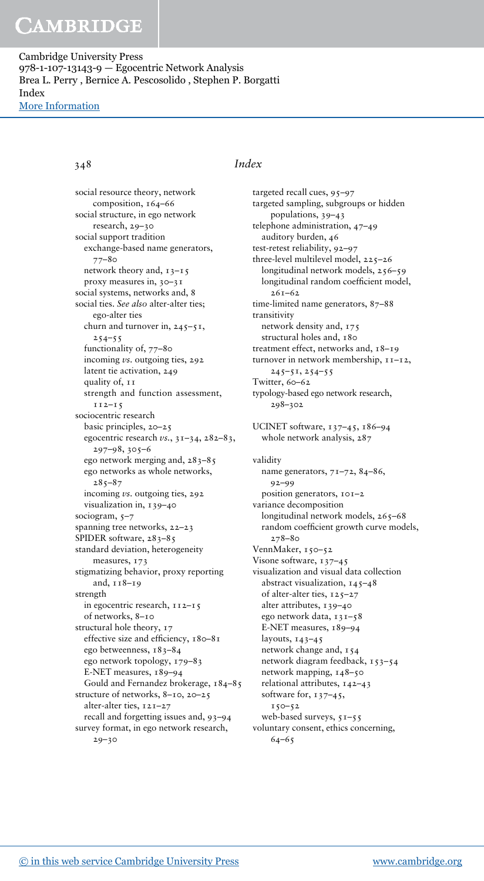Cambridge University Press 978-1-107-13143-9 — Egocentric Network Analysis Brea L. Perry , Bernice A. Pescosolido , Stephen P. Borgatti Index [More Information](www.cambridge.org/9781107131439)

social resource theory, network composition, 164–66 social structure, in ego network research, 29–30 social support tradition exchange-based name generators, 77–80 network theory and, 13–15 proxy measures in, 30–31 social systems, networks and, 8 social ties. See also alter-alter ties; ego-alter ties churn and turnover in,  $245 - 51$ ,  $254 - 55$ functionality of, 77–80 incoming vs. outgoing ties, 292 latent tie activation, 249 quality of, 11 strength and function assessment, 112–15 sociocentric research basic principles, 20–25 egocentric research vs., 31–34, 282–83, 297–98, 305–6 ego network merging and, 283–85 ego networks as whole networks,  $285 - 87$ incoming *vs*. outgoing ties, 292 visualization in, 139–40 sociogram, 5-7 spanning tree networks, 22–23 SPIDER software, 283-85 standard deviation, heterogeneity measures, 173 stigmatizing behavior, proxy reporting and, 118–19 strength in egocentric research, 112–15 of networks, 8–10 structural hole theory, 17 effective size and efficiency, 180–81 ego betweenness, 183–84 ego network topology, 179–83 E-NET measures, 189–94 Gould and Fernandez brokerage, 184–85 structure of networks, 8–10, 20–25 alter-alter ties, 121–27 recall and forgetting issues and, 93–94 survey format, in ego network research,  $29 - 30$ 

### 348 Index

targeted recall cues, 95-97 targeted sampling, subgroups or hidden populations, 39–43 telephone administration, 47–49 auditory burden, 46 test-retest reliability, 92–97 three-level multilevel model, 225–26 longitudinal network models, 256–59 longitudinal random coefficient model, 261–62 time-limited name generators, 87–88 transitivity network density and, 175 structural holes and, 180 treatment effect, networks and, 18–19 turnover in network membership, 11–12, 245–51, 254–55 Twitter, 60–62 typology-based ego network research, 298–302 UCINET software, 137–45, 186–94 whole network analysis, 287 validity name generators, 71–72, 84–86, 92–99 position generators, 101–2 variance decomposition longitudinal network models, 265–68 random coefficient growth curve models, 278–80 VennMaker, 150–52 Visone software, 137-45 visualization and visual data collection abstract visualization, 145–48 of alter-alter ties, 125–27 alter attributes, 139–40 ego network data, 131–58 E-NET measures, 189–94 layouts, 143–45 network change and, 154 network diagram feedback, 153–54 network mapping, 148–50 relational attributes, 142–43 software for, 137-45,  $150 - 52$ web-based surveys,  $51-55$ voluntary consent, ethics concerning, 64–65